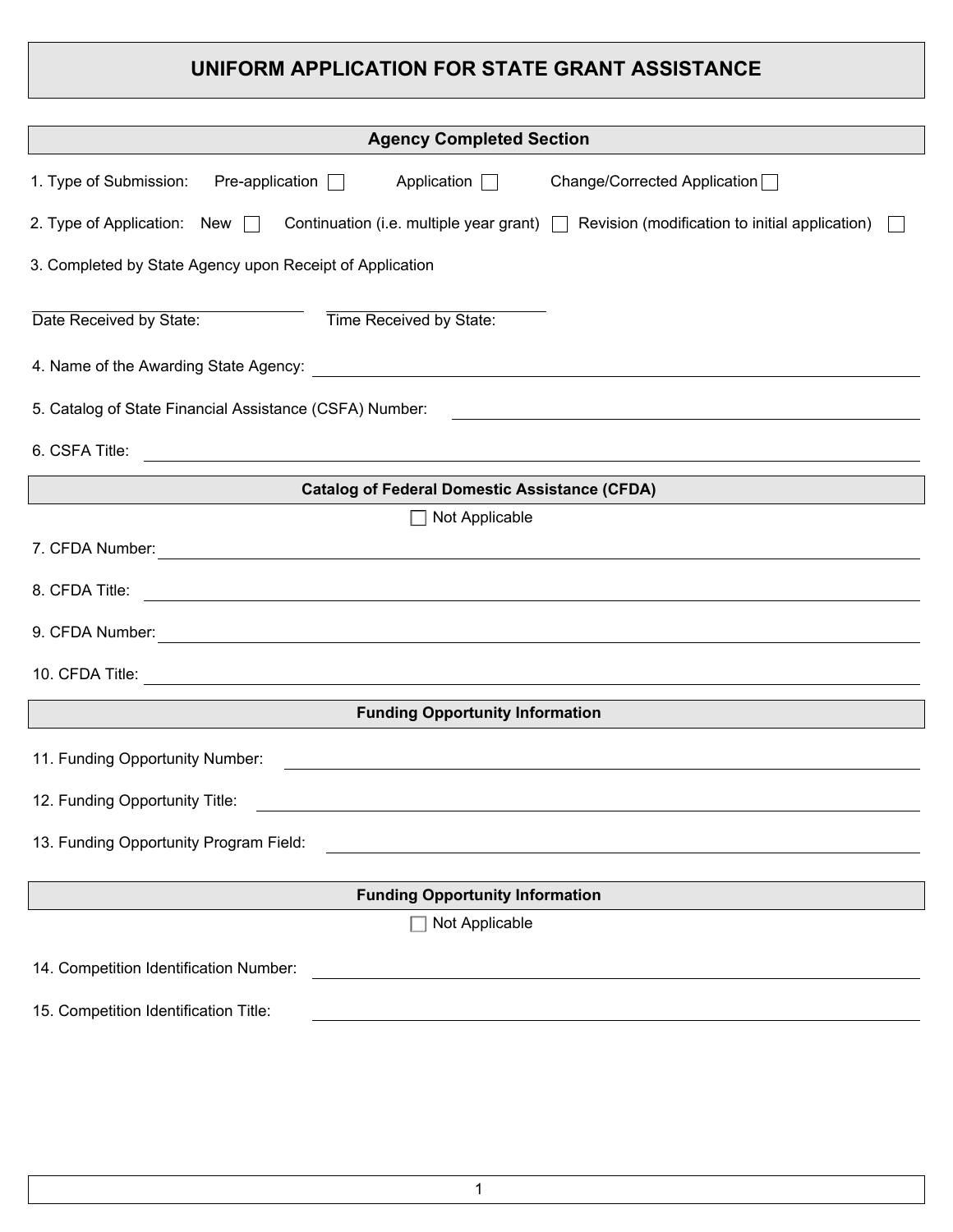# **UNIFORM APPLICATION FOR STATE GRANT ASSISTANCE**

| <b>Agency Completed Section</b>                                                                                                                                                                                                      |
|--------------------------------------------------------------------------------------------------------------------------------------------------------------------------------------------------------------------------------------|
| $Pre-application \t\Box$ Application $\Box$<br>Change/Corrected Application<br>1. Type of Submission:                                                                                                                                |
| 2. Type of Application: New $\Box$ Continuation (i.e. multiple year grant) $\Box$ Revision (modification to initial application)                                                                                                     |
| 3. Completed by State Agency upon Receipt of Application                                                                                                                                                                             |
| Time Received by State:<br>Date Received by State:                                                                                                                                                                                   |
|                                                                                                                                                                                                                                      |
| 5. Catalog of State Financial Assistance (CSFA) Number:<br><u> 1989 - Johann Stoff, deutscher Stoff, der Stoff, der Stoff, der Stoff, der Stoff, der Stoff, der Stoff, der S</u>                                                     |
| 6. CSFA Title:<br><u> 1990 - Johann Stoff, amerikansk politiker (* 1900)</u>                                                                                                                                                         |
| <b>Catalog of Federal Domestic Assistance (CFDA)</b>                                                                                                                                                                                 |
| Not Applicable                                                                                                                                                                                                                       |
| 7. CFDA Number: <u>Alexander Stevenson and Stevenson and Stevenson and Stevenson and Stevenson and Stevenson and Stevenson and Stevenson and Stevenson and Stevenson and Stevenson and Stevenson and Stevenson and Stevenson and</u> |
|                                                                                                                                                                                                                                      |
| 9. CFDA Number: <u>Alexander Alexander and Alexander Alexander Alexander Alexander Alexander Alexander Alexander</u>                                                                                                                 |
|                                                                                                                                                                                                                                      |
| <b>Funding Opportunity Information</b>                                                                                                                                                                                               |
| 11. Funding Opportunity Number:<br>and the control of the control of the control of the control of the control of the control of the control of the                                                                                  |
| 12. Funding Opportunity Title:                                                                                                                                                                                                       |
| 13. Funding Opportunity Program Field:                                                                                                                                                                                               |
| <b>Funding Opportunity Information</b>                                                                                                                                                                                               |
| Not Applicable                                                                                                                                                                                                                       |
| 14. Competition Identification Number:<br><u> 1989 - Johann Stoff, deutscher Stoff, der Stoff, der Stoff, der Stoff, der Stoff, der Stoff, der Stoff, der S</u>                                                                      |
| 15. Competition Identification Title:                                                                                                                                                                                                |
|                                                                                                                                                                                                                                      |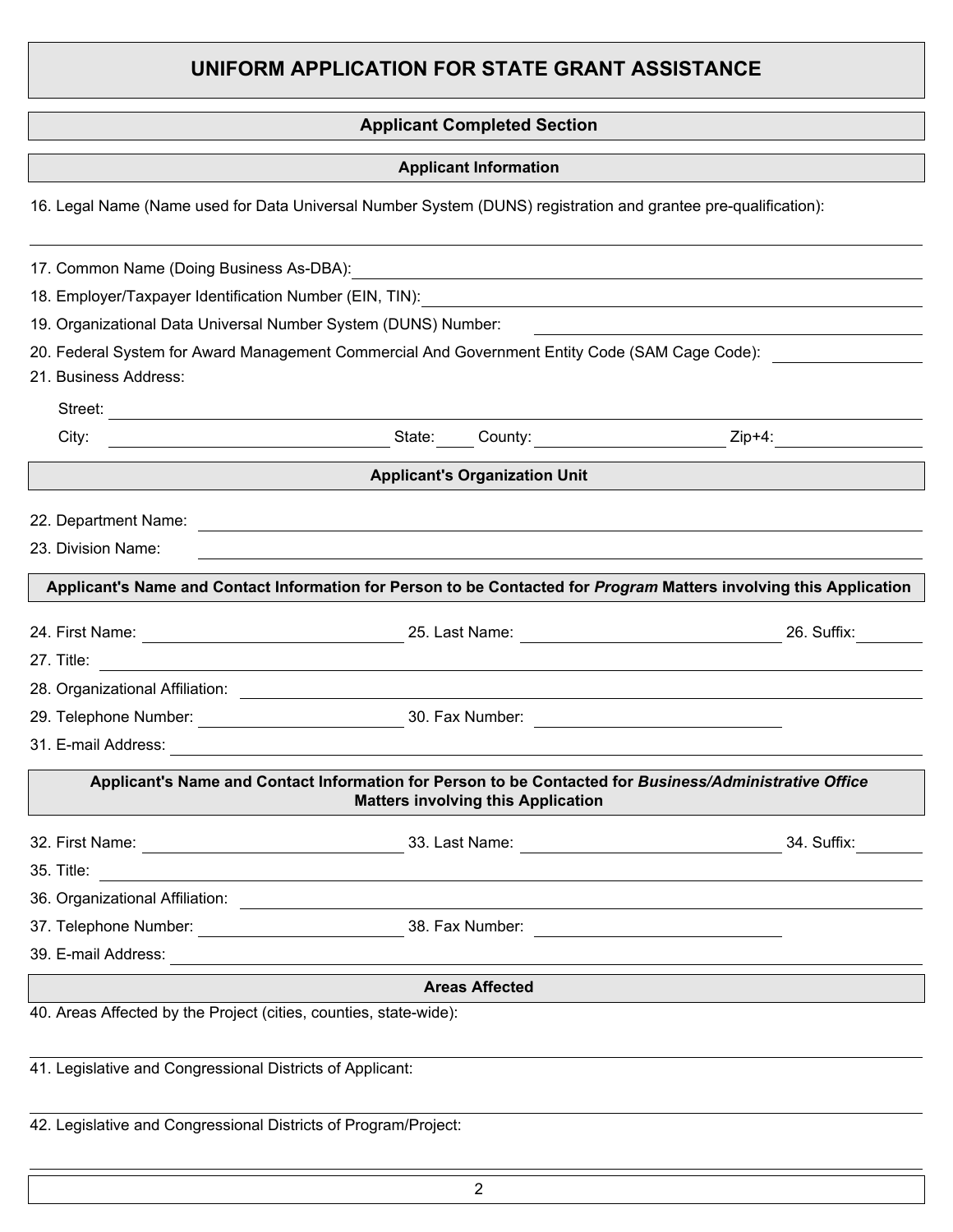## **UNIFORM APPLICATION FOR STATE GRANT ASSISTANCE**

### **Applicant Completed Section**

**Applicant Information**

16. Legal Name (Name used for Data Universal Number System (DUNS) registration and grantee pre-qualification):

|                                                                   | 17. Common Name (Doing Business As-DBA): 2008. [2010] The Common Name (Doing Business As-DBA):                                                      |                                               |
|-------------------------------------------------------------------|-----------------------------------------------------------------------------------------------------------------------------------------------------|-----------------------------------------------|
|                                                                   |                                                                                                                                                     |                                               |
| 19. Organizational Data Universal Number System (DUNS) Number:    |                                                                                                                                                     | <u> 1980 - Andrea Andrew Maria (h. 1980).</u> |
|                                                                   | 20. Federal System for Award Management Commercial And Government Entity Code (SAM Cage Code): _______________                                      |                                               |
| 21. Business Address:                                             |                                                                                                                                                     |                                               |
|                                                                   |                                                                                                                                                     |                                               |
|                                                                   |                                                                                                                                                     |                                               |
|                                                                   | <b>Applicant's Organization Unit</b>                                                                                                                |                                               |
|                                                                   |                                                                                                                                                     |                                               |
| 23. Division Name:                                                | ,我们也不能在这里的时候,我们也不能在这里的时候,我们也不能会在这里的时候,我们也不能会在这里的时候,我们也不能会在这里的时候,我们也不能会在这里的时候,我们也                                                                    |                                               |
|                                                                   | Applicant's Name and Contact Information for Person to be Contacted for Program Matters involving this Application                                  |                                               |
|                                                                   | 24. First Name: 28. Last Name: 25. Last Name: 25. Last Name: 24. First Name: 26. Suffix:                                                            |                                               |
|                                                                   |                                                                                                                                                     |                                               |
|                                                                   | 28. Organizational Affiliation: <u>contract and a series of the series of the series of the series of the series of</u>                             |                                               |
|                                                                   |                                                                                                                                                     |                                               |
|                                                                   |                                                                                                                                                     |                                               |
|                                                                   | Applicant's Name and Contact Information for Person to be Contacted for Business/Administrative Office<br><b>Matters involving this Application</b> |                                               |
|                                                                   |                                                                                                                                                     | 34. Suffix:                                   |
|                                                                   | 35. Title: $\qquad \qquad$                                                                                                                          |                                               |
|                                                                   |                                                                                                                                                     |                                               |
|                                                                   |                                                                                                                                                     |                                               |
| 39. E-mail Address:                                               |                                                                                                                                                     |                                               |
|                                                                   | <b>Areas Affected</b>                                                                                                                               |                                               |
| 40. Areas Affected by the Project (cities, counties, state-wide): |                                                                                                                                                     |                                               |
| 41. Legislative and Congressional Districts of Applicant:         |                                                                                                                                                     |                                               |
| 42. Legislative and Congressional Districts of Program/Project:   |                                                                                                                                                     |                                               |
|                                                                   |                                                                                                                                                     |                                               |

2